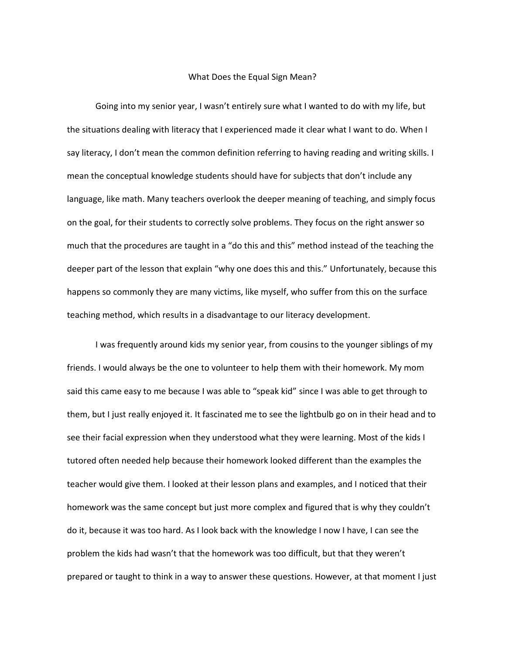## What Does the Equal Sign Mean?

Going into my senior year, I wasn't entirely sure what I wanted to do with my life, but the situations dealing with literacy that I experienced made it clear what I want to do. When I say literacy, I don't mean the common definition referring to having reading and writing skills. I mean the conceptual knowledge students should have for subjects that don't include any language, like math. Many teachers overlook the deeper meaning of teaching, and simply focus on the goal, for their students to correctly solve problems. They focus on the right answer so much that the procedures are taught in a "do this and this" method instead of the teaching the deeper part of the lesson that explain "why one does this and this." Unfortunately, because this happens so commonly they are many victims, like myself, who suffer from this on the surface teaching method, which results in a disadvantage to our literacy development.

I was frequently around kids my senior year, from cousins to the younger siblings of my friends. I would always be the one to volunteer to help them with their homework. My mom said this came easy to me because I was able to "speak kid" since I was able to get through to them, but I just really enjoyed it. It fascinated me to see the lightbulb go on in their head and to see their facial expression when they understood what they were learning. Most of the kids I tutored often needed help because their homework looked different than the examples the teacher would give them. I looked at their lesson plans and examples, and I noticed that their homework was the same concept but just more complex and figured that is why they couldn't do it, because it was too hard. As I look back with the knowledge I now I have, I can see the problem the kids had wasn't that the homework was too difficult, but that they weren't prepared or taught to think in a way to answer these questions. However, at that moment I just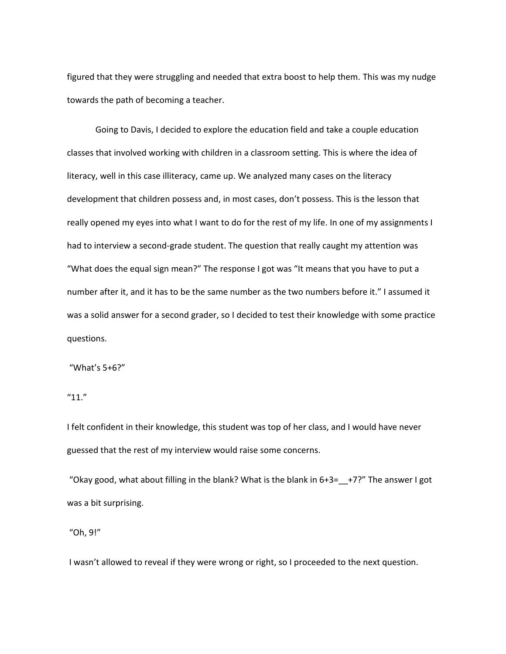figured that they were struggling and needed that extra boost to help them. This was my nudge towards the path of becoming a teacher.

Going to Davis, I decided to explore the education field and take a couple education classes that involved working with children in a classroom setting. This is where the idea of literacy, well in this case illiteracy, came up. We analyzed many cases on the literacy development that children possess and, in most cases, don't possess. This is the lesson that really opened my eyes into what I want to do for the rest of my life. In one of my assignments I had to interview a second-grade student. The question that really caught my attention was "What does the equal sign mean?" The response I got was "It means that you have to put a number after it, and it has to be the same number as the two numbers before it." I assumed it was a solid answer for a second grader, so I decided to test their knowledge with some practice questions.

"What's 5+6?"

 $"11."$ 

I felt confident in their knowledge, this student was top of her class, and I would have never guessed that the rest of my interview would raise some concerns.

"Okay good, what about filling in the blank? What is the blank in  $6+3=$   $-$ +7?" The answer I got was a bit surprising.

"Oh, 9!"

I wasn't allowed to reveal if they were wrong or right, so I proceeded to the next question.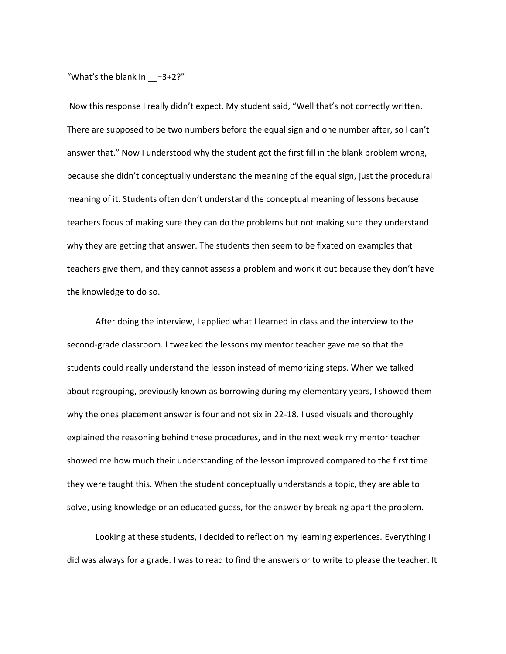"What's the blank in  $=3+2$ ?"

Now this response I really didn't expect. My student said, "Well that's not correctly written. There are supposed to be two numbers before the equal sign and one number after, so I can't answer that." Now I understood why the student got the first fill in the blank problem wrong, because she didn't conceptually understand the meaning of the equal sign, just the procedural meaning of it. Students often don't understand the conceptual meaning of lessons because teachers focus of making sure they can do the problems but not making sure they understand why they are getting that answer. The students then seem to be fixated on examples that teachers give them, and they cannot assess a problem and work it out because they don't have the knowledge to do so.

After doing the interview, I applied what I learned in class and the interview to the second-grade classroom. I tweaked the lessons my mentor teacher gave me so that the students could really understand the lesson instead of memorizing steps. When we talked about regrouping, previously known as borrowing during my elementary years, I showed them why the ones placement answer is four and not six in 22-18. I used visuals and thoroughly explained the reasoning behind these procedures, and in the next week my mentor teacher showed me how much their understanding of the lesson improved compared to the first time they were taught this. When the student conceptually understands a topic, they are able to solve, using knowledge or an educated guess, for the answer by breaking apart the problem.

Looking at these students, I decided to reflect on my learning experiences. Everything I did was always for a grade. I was to read to find the answers or to write to please the teacher. It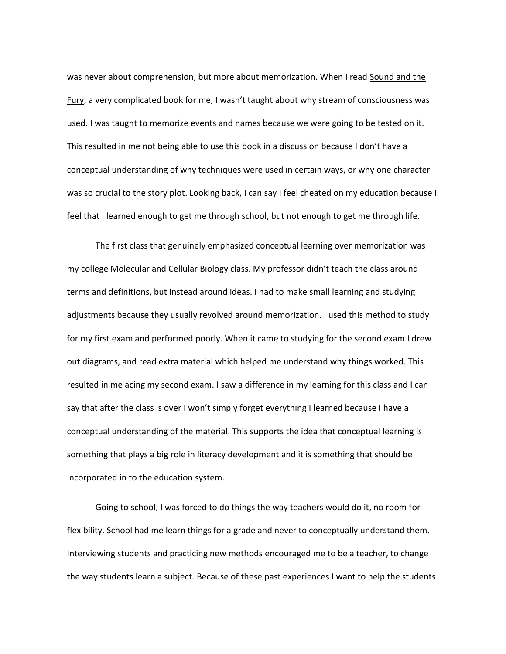was never about comprehension, but more about memorization. When I read Sound and the Fury, a very complicated book for me, I wasn't taught about why stream of consciousness was used. I was taught to memorize events and names because we were going to be tested on it. This resulted in me not being able to use this book in a discussion because I don't have a conceptual understanding of why techniques were used in certain ways, or why one character was so crucial to the story plot. Looking back, I can say I feel cheated on my education because I feel that I learned enough to get me through school, but not enough to get me through life.

The first class that genuinely emphasized conceptual learning over memorization was my college Molecular and Cellular Biology class. My professor didn't teach the class around terms and definitions, but instead around ideas. I had to make small learning and studying adjustments because they usually revolved around memorization. I used this method to study for my first exam and performed poorly. When it came to studying for the second exam I drew out diagrams, and read extra material which helped me understand why things worked. This resulted in me acing my second exam. I saw a difference in my learning for this class and I can say that after the class is over I won't simply forget everything I learned because I have a conceptual understanding of the material. This supports the idea that conceptual learning is something that plays a big role in literacy development and it is something that should be incorporated in to the education system.

Going to school, I was forced to do things the way teachers would do it, no room for flexibility. School had me learn things for a grade and never to conceptually understand them. Interviewing students and practicing new methods encouraged me to be a teacher, to change the way students learn a subject. Because of these past experiences I want to help the students